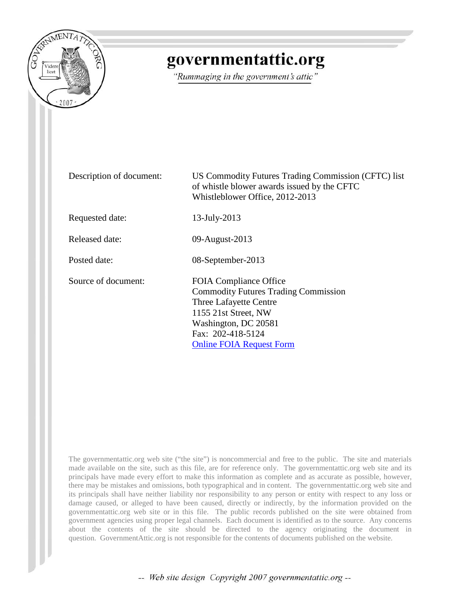

## governmentattic.org

"Rummaging in the government's attic"

| Description of document: | US Commodity Futures Trading Commission (CFTC) list<br>of whistle blower awards issued by the CFTC<br>Whistleblower Office, 2012-2013                                                                          |
|--------------------------|----------------------------------------------------------------------------------------------------------------------------------------------------------------------------------------------------------------|
| Requested date:          | 13-July-2013                                                                                                                                                                                                   |
| Released date:           | 09-August-2013                                                                                                                                                                                                 |
| Posted date:             | 08-September-2013                                                                                                                                                                                              |
| Source of document:      | <b>FOIA Compliance Office</b><br><b>Commodity Futures Trading Commission</b><br>Three Lafayette Centre<br>1155 21st Street, NW<br>Washington, DC 20581<br>Fax: 202-418-5124<br><b>Online FOIA Request Form</b> |

The governmentattic.org web site ("the site") is noncommercial and free to the public. The site and materials made available on the site, such as this file, are for reference only. The governmentattic.org web site and its principals have made every effort to make this information as complete and as accurate as possible, however, there may be mistakes and omissions, both typographical and in content. The governmentattic.org web site and its principals shall have neither liability nor responsibility to any person or entity with respect to any loss or damage caused, or alleged to have been caused, directly or indirectly, by the information provided on the governmentattic.org web site or in this file. The public records published on the site were obtained from government agencies using proper legal channels. Each document is identified as to the source. Any concerns about the contents of the site should be directed to the agency originating the document in question. GovernmentAttic.org is not responsible for the contents of documents published on the website.

-- Web site design Copyright 2007 governmentattic.org --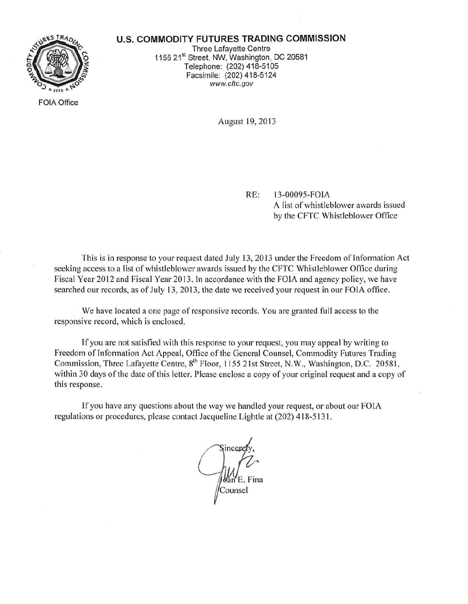

FOIA Office

## **U.S. COMMODITY FUTURES TRADING COMMISSION**

Three Lafayette Centre 1155 21st Street, NW, Washington, DC 20581 Telephone: (202) 418-5105 Facsimile: (202) 418-5124 www.cftc.gov

August 19, 2013

RE: 13-00095-FOlA

A list of whistleblower awards issued by the CFTC Whistleblower Office

This is in response to your request dated July 13, 2013 under the Freedom of Information Act seeking access to a list of whistleblower awards issued by the CFTC Whistleblower Office during Fiscal Year 2012 and Fiscal Year 2013. In accordance with the FOIA and agency policy, we have searched our records, as of July 13, 2013, the date we received your request in our FOIA office.

We have located a one page of responsive records. You are granted full access to the responsive record, which is enclosed.

ff you are not satisfied with this response to your request, you may appeal by writing to Freedom of Information Act Appeal, Office of the General Counsel, Commodity Futures Trading Commission, Three Lafayette Centre, 8<sup>th</sup> Floor, 1155 21st Street, N.W., Washington, D.C. 20581, within 30 days of the date of this letter. Please enclose a copy of your original request and a copy of this response.

If you have any questions about the way we handled your request, or about our FOIA regulations or procedures, please contact Jacqueline Lightle at (202) 418-5131.

can E. Fina Counsel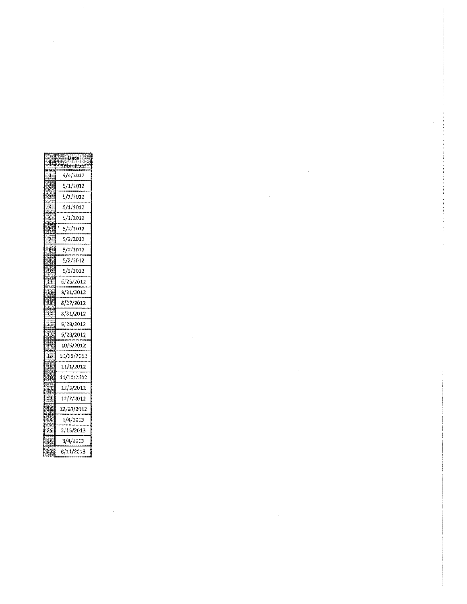| Date                   |
|------------------------|
| "Submitted"            |
| 4/4/2012               |
| 5/1/2012               |
| 5/1/2012               |
| 5/1/2012               |
| 5/1/2012               |
| 5/2/2012               |
| 5/2/2012               |
| <i><b>5/2/2012</b></i> |
| 5/2/2012               |
| 5/3/2012               |
| 6/25/2012              |
| 8/21/2012              |
| 8/27/2012              |
| 8/31/2012              |
| 9/28/2012              |
| 9/28/2012              |
| 10/5/2012              |
| 10/30/2012             |
| 11/1/2012              |
| 11/30/2012             |
| 12/3/2012              |
| 12/7/2012              |
| 12/20/2012             |
| 1/4/2013               |
| 2/15/2013              |
| 3/4/2013               |
| 6/11/2013              |
|                        |

 $\label{eq:2.1} \frac{1}{\sqrt{2}}\int_{\mathbb{R}^3}\frac{1}{\sqrt{2}}\left(\frac{1}{\sqrt{2}}\right)^2\left(\frac{1}{\sqrt{2}}\right)^2\left(\frac{1}{\sqrt{2}}\right)^2\left(\frac{1}{\sqrt{2}}\right)^2\left(\frac{1}{\sqrt{2}}\right)^2\left(\frac{1}{\sqrt{2}}\right)^2.$ 

 $\frac{1}{2}$ 

 $\hat{\mathcal{A}}$ 

 $\label{eq:2.1} \frac{1}{\sqrt{2}}\int_{\mathbb{R}^3}\frac{1}{\sqrt{2}}\left(\frac{1}{\sqrt{2}}\right)^2\frac{1}{\sqrt{2}}\left(\frac{1}{\sqrt{2}}\right)^2\frac{1}{\sqrt{2}}\left(\frac{1}{\sqrt{2}}\right)^2\frac{1}{\sqrt{2}}\left(\frac{1}{\sqrt{2}}\right)^2.$ 

 $\label{eq:2.1} \frac{1}{\sqrt{2}}\int_{\mathbb{R}^3}\frac{1}{\sqrt{2}}\left(\frac{1}{\sqrt{2}}\right)^2\frac{1}{\sqrt{2}}\left(\frac{1}{\sqrt{2}}\right)^2\frac{1}{\sqrt{2}}\left(\frac{1}{\sqrt{2}}\right)^2\frac{1}{\sqrt{2}}\left(\frac{1}{\sqrt{2}}\right)^2.$ 

 $\label{eq:2.1} \mathcal{L}(\mathcal{L}^{\text{max}}_{\mathcal{L}}(\mathcal{L}^{\text{max}}_{\mathcal{L}}))\leq \mathcal{L}(\mathcal{L}^{\text{max}}_{\mathcal{L}}(\mathcal{L}^{\text{max}}_{\mathcal{L}}))$ 

 $\label{eq:2.1} \frac{1}{\sqrt{2}}\int_{\mathbb{R}^3}\frac{1}{\sqrt{2}}\left(\frac{1}{\sqrt{2}}\right)^2\frac{1}{\sqrt{2}}\left(\frac{1}{\sqrt{2}}\right)^2\frac{1}{\sqrt{2}}\left(\frac{1}{\sqrt{2}}\right)^2\frac{1}{\sqrt{2}}\left(\frac{1}{\sqrt{2}}\right)^2.$ 

 $\label{eq:2.1} \frac{1}{\sqrt{2\pi}}\int_{0}^{\infty}\frac{1}{\sqrt{2\pi}}\left(\frac{1}{\sqrt{2\pi}}\right)^{2\alpha} \frac{1}{\sqrt{2\pi}}\int_{0}^{\infty}\frac{1}{\sqrt{2\pi}}\frac{1}{\sqrt{2\pi}}\frac{1}{\sqrt{2\pi}}\frac{1}{\sqrt{2\pi}}\frac{1}{\sqrt{2\pi}}\frac{1}{\sqrt{2\pi}}\frac{1}{\sqrt{2\pi}}\frac{1}{\sqrt{2\pi}}\frac{1}{\sqrt{2\pi}}\frac{1}{\sqrt{2\pi}}\frac{1}{\sqrt{2\pi}}\frac{$